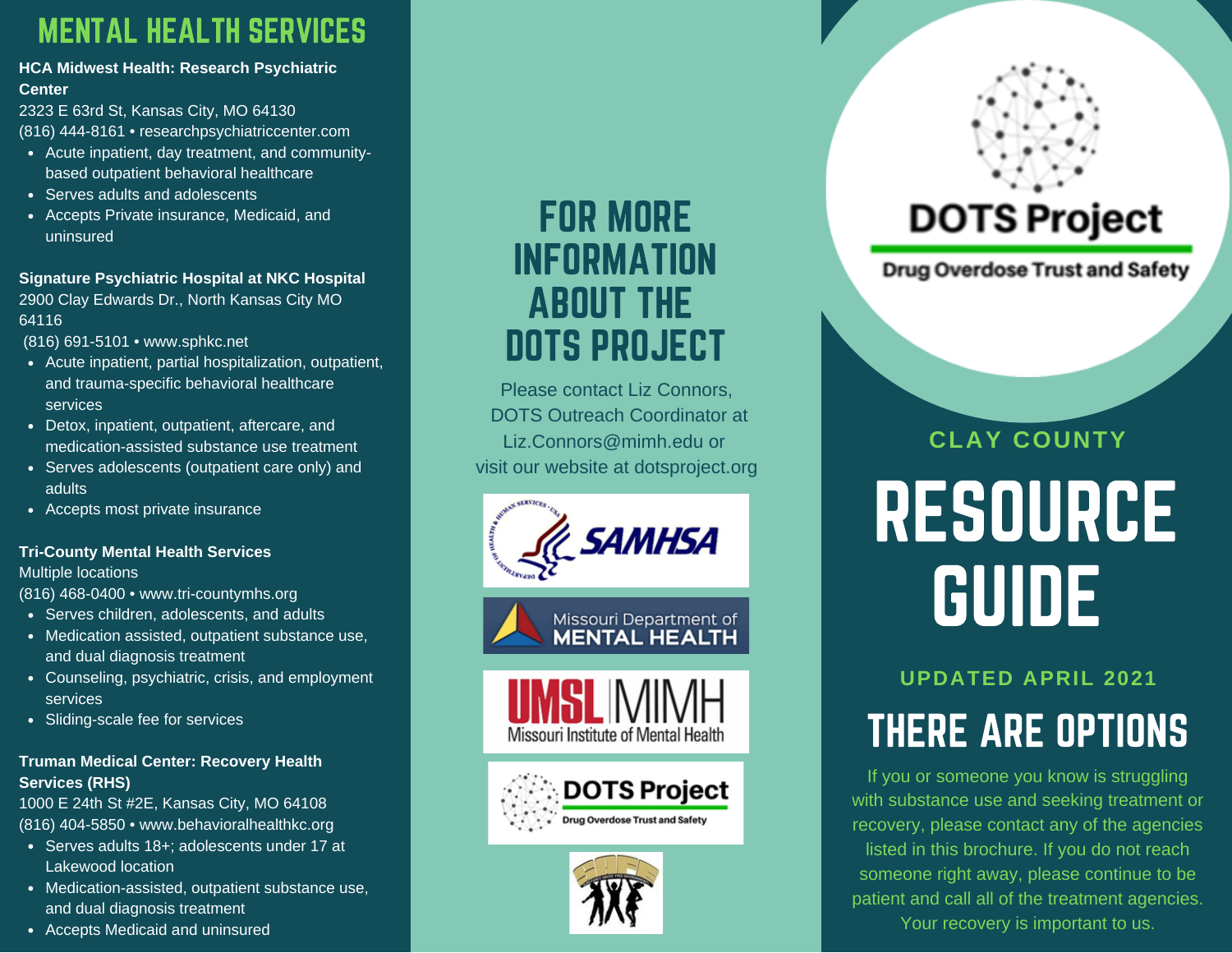### MENTAL HEALTH SERVICES

### **HCA Midwest Health: Research Psychiatric Center**

2323 E 63rd St, Kansas City, MO 64130 (816) 444-8161 • researchpsychiatriccenter.com

- Acute inpatient, day treatment, and communitybased outpatient behavioral healthcare
- Serves adults and adolescents
- Accepts Private insurance, Medicaid, and uninsured

### **Signature Psychiatric Hospital at NKC Hospital**

2900 Clay Edwards Dr., North Kansas City MO 64116

(816) 691-5101 • www.sphkc.net

- Acute inpatient, partial hospitalization, outpatient, and trauma-specific behavioral healthcare services
- Detox, inpatient, outpatient, aftercare, and medication-assisted substance use treatment
- Serves adolescents (outpatient care only) and adults
- Accepts most private insurance

### **Tri-County Mental Health Services**

Multiple locations

(816) 468-0400 • www.tri-countymhs.org

- Serves children, adolescents, and adults
- Medication assisted, outpatient substance use, and dual diagnosis treatment
- Counseling, psychiatric, crisis, and employment services
- Sliding-scale fee for services

### **Truman Medical Center: Recovery Health Services (RHS)**

1000 E 24th St #2E, Kansas City, MO 64108 (816) 404-5850 • www.behavioralhealthkc.org

- Serves adults 18+; adolescents under 17 at Lakewood location
- Medication-assisted, outpatient substance use, and dual diagnosis treatment
- Accepts Medicaid and uninsured

## FOR MORE INFORMATION ABOUT THE DOTS PROJECT

Please contact Liz Connors, DOTS Outreach Coordinator at Liz.Connors@mimh.edu or visit our website at dotsproject.org











# **DOTS Project**

**Drug Overdose Trust and Safety** 

# RESOURCE GUIDE **CLAY COUNTY**

# **UPDATED APRIL 2021** THERE ARE OPTIONS

If you or someone you know is struggling with substance use and seeking treatment or recovery, please contact any of the agencies listed in this brochure. If you do not reach someone right away, please continue to be patient and call all of the treatment agencies. Your recovery is important to us.